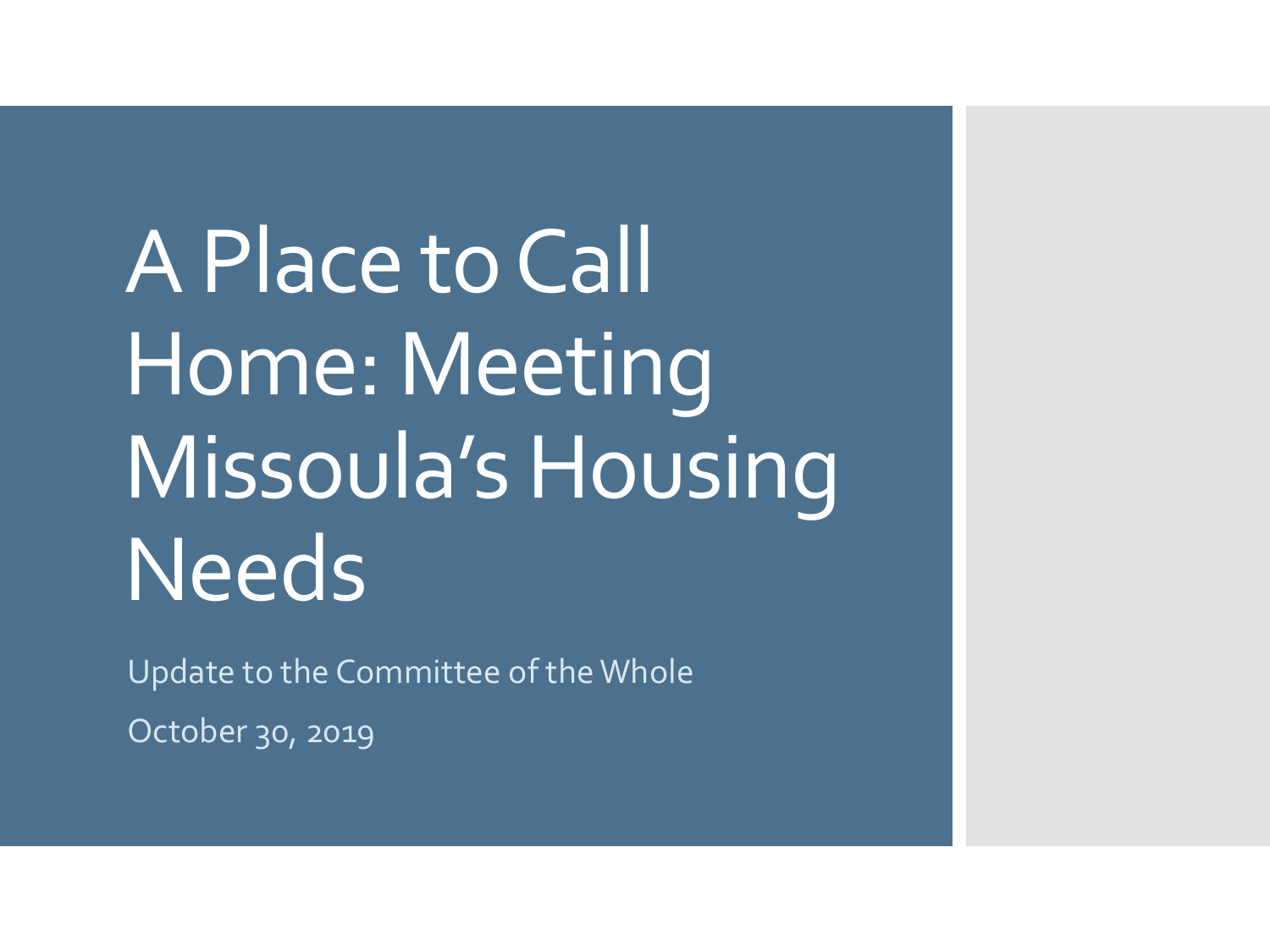A Place to Call Home: Meeting Missoula's Housing **Needs** 

Update to the Committee of the Whole

October 30, 2019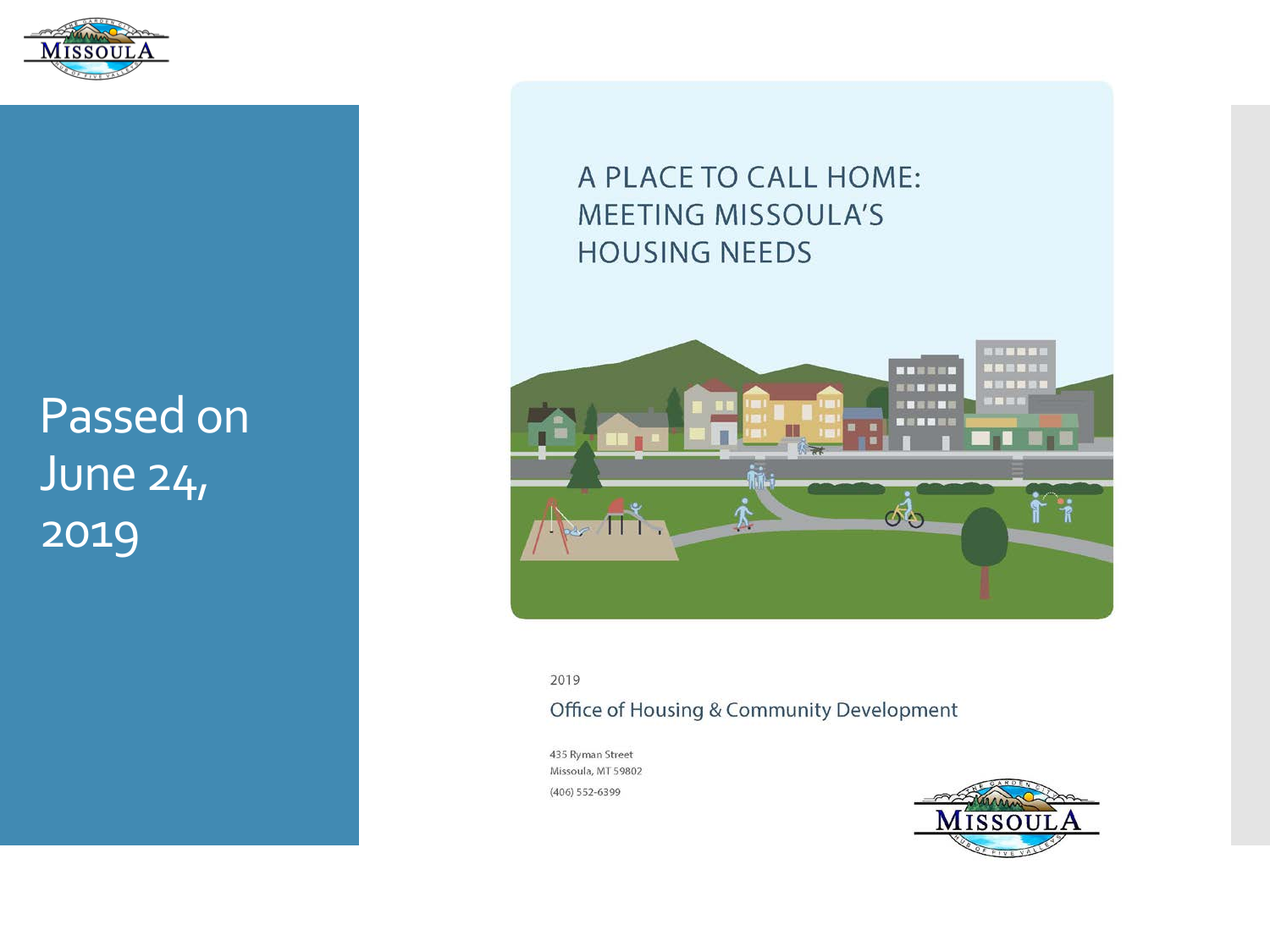

Passed on June 24, 2019

#### A PLACE TO CALL HOME: **MEETING MISSOULA'S HOUSING NEEDS**



2019

#### Office of Housing & Community Development

435 Ryman Street Missoula, MT 59802  $(406) 552 - 6399$ 

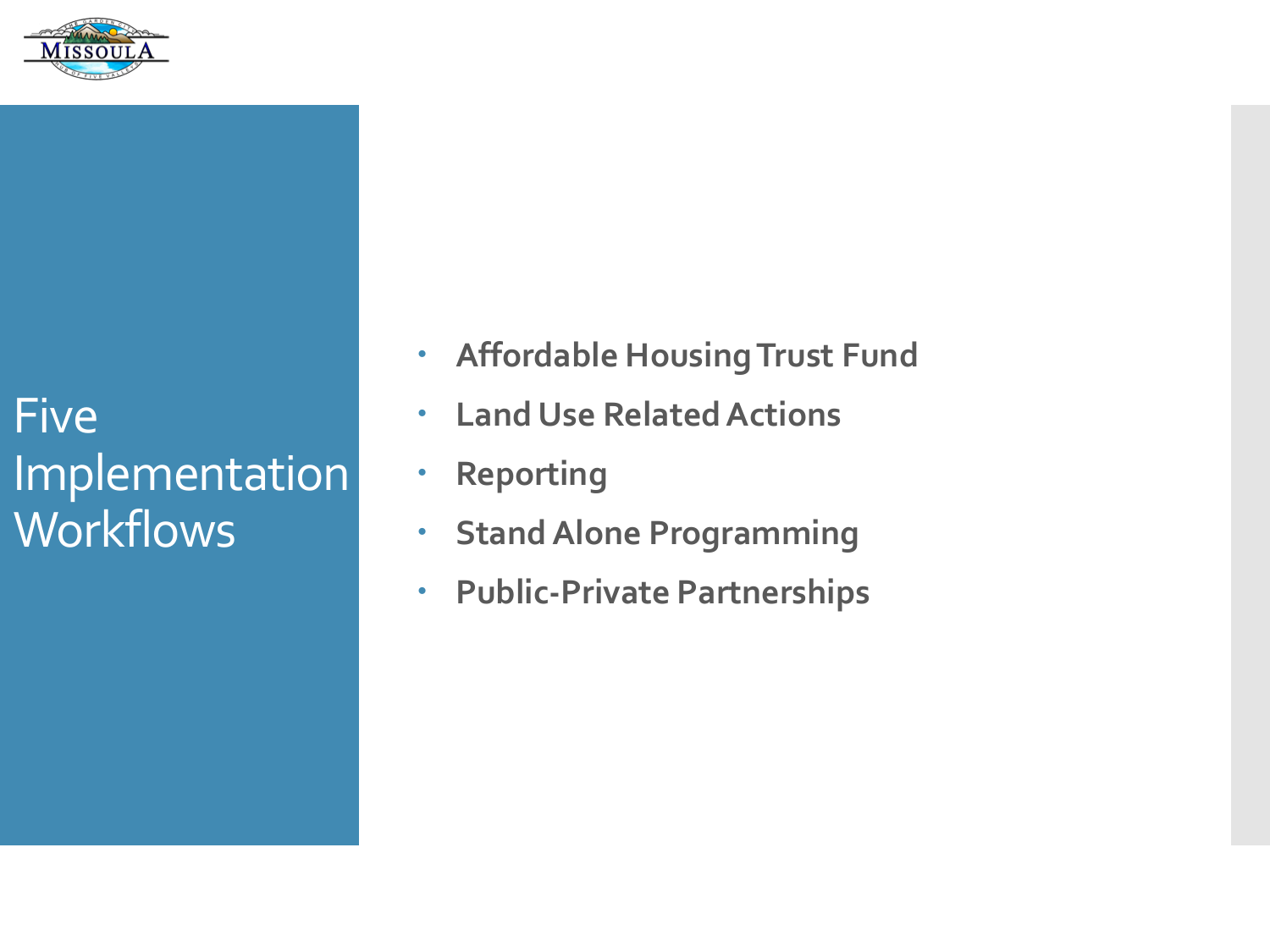

Five Implementation **Workflows** 

- **Affordable Housing Trust Fund**
- **Land Use Related Actions**
- **Reporting**
- **Stand Alone Programming**
- **Public-Private Partnerships**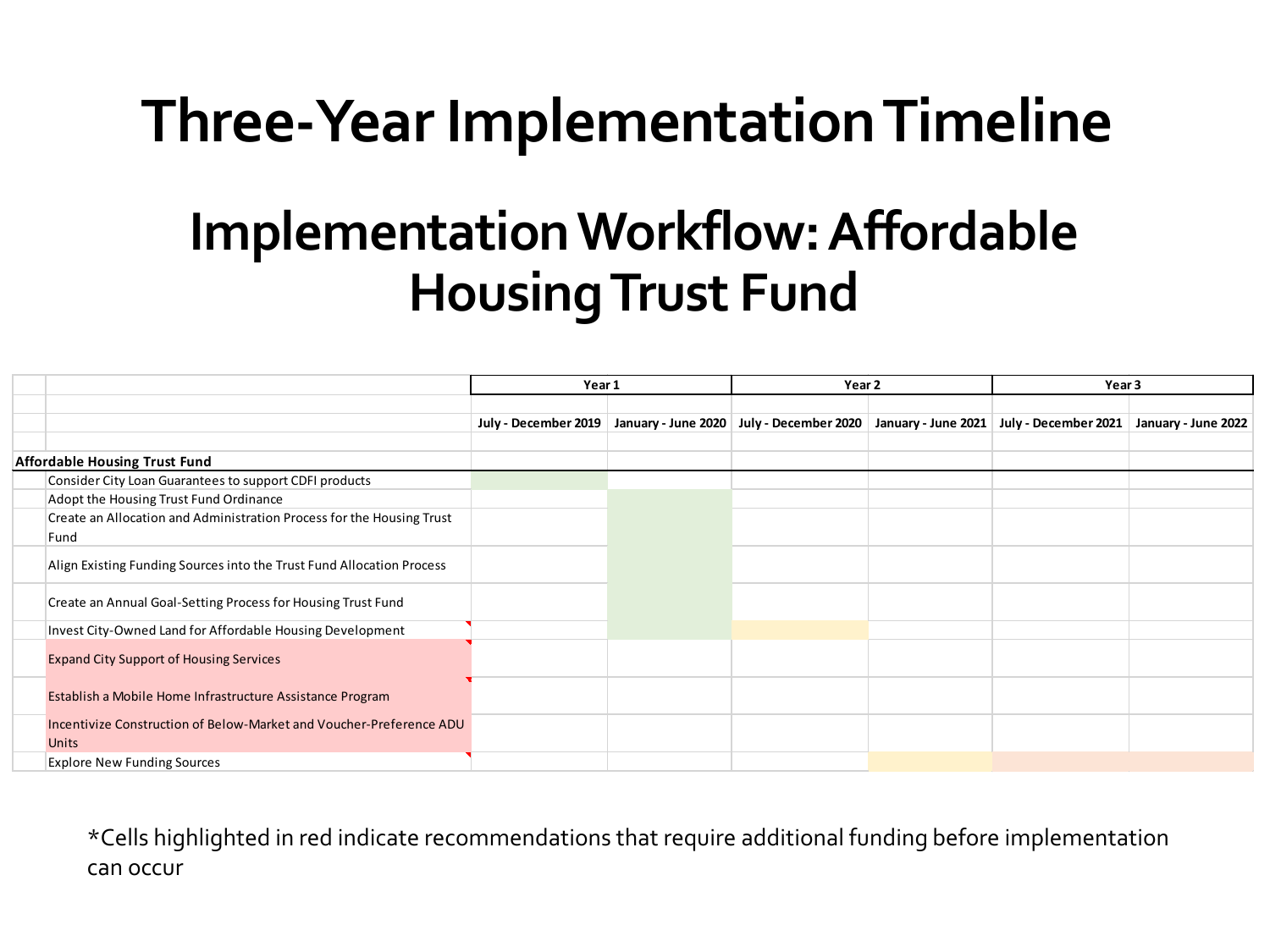# **Three-Year Implementation Timeline**

# **Implementation Workflow: Affordable Housing Trust Fund**

|                                                                                     | Year 1               |  | Year 2                                                                                  |  | Year 3 |                     |
|-------------------------------------------------------------------------------------|----------------------|--|-----------------------------------------------------------------------------------------|--|--------|---------------------|
|                                                                                     |                      |  |                                                                                         |  |        |                     |
|                                                                                     | July - December 2019 |  | January - June 2020   July - December 2020   January - June 2021   July - December 2021 |  |        | January - June 2022 |
|                                                                                     |                      |  |                                                                                         |  |        |                     |
| <b>Affordable Housing Trust Fund</b>                                                |                      |  |                                                                                         |  |        |                     |
| Consider City Loan Guarantees to support CDFI products                              |                      |  |                                                                                         |  |        |                     |
| Adopt the Housing Trust Fund Ordinance                                              |                      |  |                                                                                         |  |        |                     |
| Create an Allocation and Administration Process for the Housing Trust               |                      |  |                                                                                         |  |        |                     |
| Fund                                                                                |                      |  |                                                                                         |  |        |                     |
| Align Existing Funding Sources into the Trust Fund Allocation Process               |                      |  |                                                                                         |  |        |                     |
| Create an Annual Goal-Setting Process for Housing Trust Fund                        |                      |  |                                                                                         |  |        |                     |
| Invest City-Owned Land for Affordable Housing Development                           |                      |  |                                                                                         |  |        |                     |
| <b>Expand City Support of Housing Services</b>                                      |                      |  |                                                                                         |  |        |                     |
| Establish a Mobile Home Infrastructure Assistance Program                           |                      |  |                                                                                         |  |        |                     |
| Incentivize Construction of Below-Market and Voucher-Preference ADU<br><b>Units</b> |                      |  |                                                                                         |  |        |                     |
| <b>Explore New Funding Sources</b>                                                  |                      |  |                                                                                         |  |        |                     |

\*Cells highlighted in red indicate recommendations that require additional funding before implementation can occur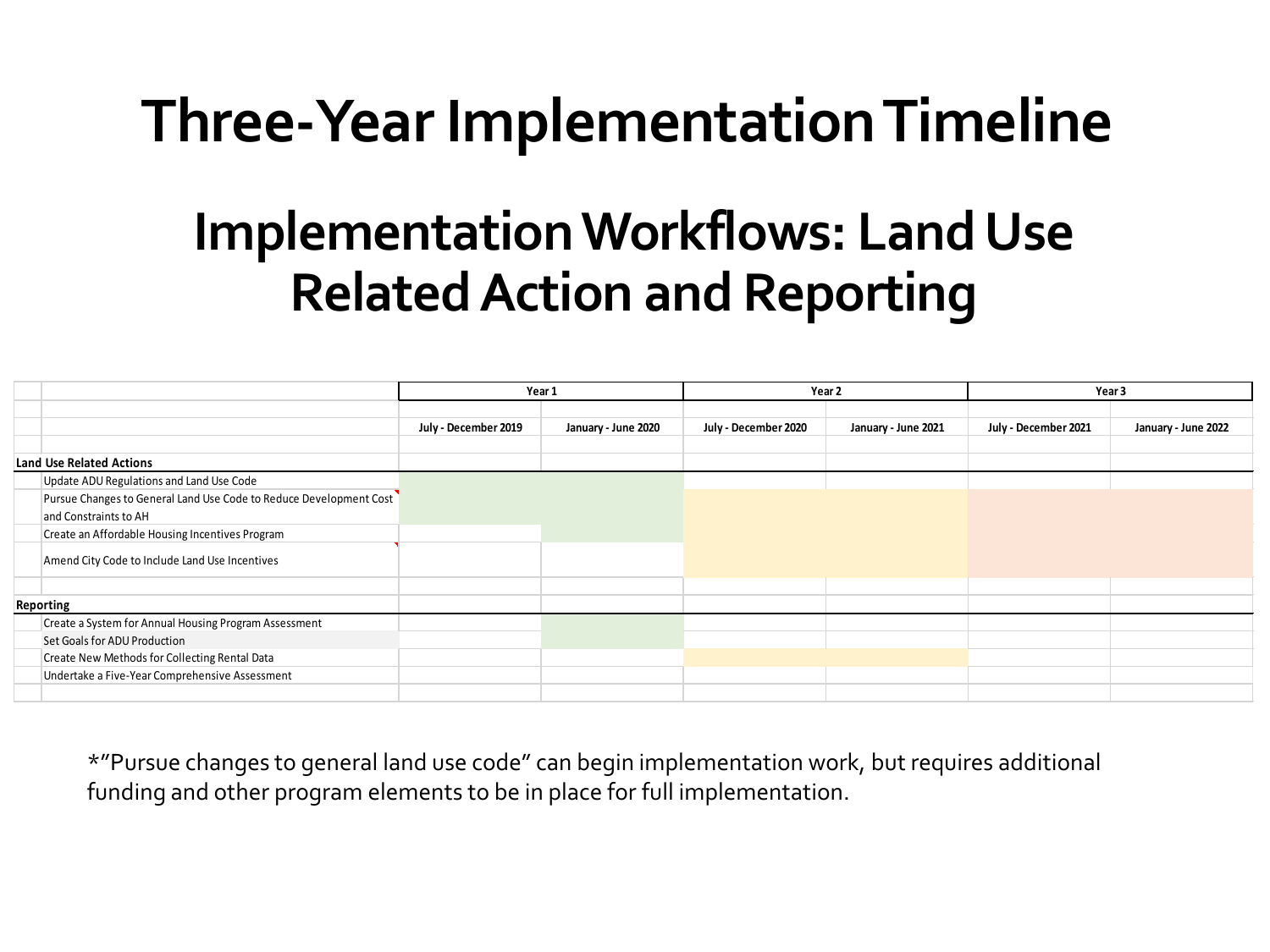# **Three-Year Implementation Timeline**

# **Implementation Workflows: Land Use Related Action and Reporting**

|                                                                    | Year 1               |                     | Year 2               |                     | Year 3               |                     |
|--------------------------------------------------------------------|----------------------|---------------------|----------------------|---------------------|----------------------|---------------------|
|                                                                    |                      |                     |                      |                     |                      |                     |
|                                                                    | July - December 2019 | January - June 2020 | July - December 2020 | January - June 2021 | July - December 2021 | January - June 2022 |
|                                                                    |                      |                     |                      |                     |                      |                     |
| <b>Land Use Related Actions</b>                                    |                      |                     |                      |                     |                      |                     |
| Update ADU Regulations and Land Use Code                           |                      |                     |                      |                     |                      |                     |
| Pursue Changes to General Land Use Code to Reduce Development Cost |                      |                     |                      |                     |                      |                     |
| and Constraints to AH                                              |                      |                     |                      |                     |                      |                     |
| Create an Affordable Housing Incentives Program                    |                      |                     |                      |                     |                      |                     |
| Amend City Code to Include Land Use Incentives                     |                      |                     |                      |                     |                      |                     |
|                                                                    |                      |                     |                      |                     |                      |                     |
| Reporting                                                          |                      |                     |                      |                     |                      |                     |
| Create a System for Annual Housing Program Assessment              |                      |                     |                      |                     |                      |                     |
| Set Goals for ADU Production                                       |                      |                     |                      |                     |                      |                     |
| Create New Methods for Collecting Rental Data                      |                      |                     |                      |                     |                      |                     |
| Undertake a Five-Year Comprehensive Assessment                     |                      |                     |                      |                     |                      |                     |
|                                                                    |                      |                     |                      |                     |                      |                     |

\*"Pursue changes to general land use code" can begin implementation work, but requires additional funding and other program elements to be in place for full implementation.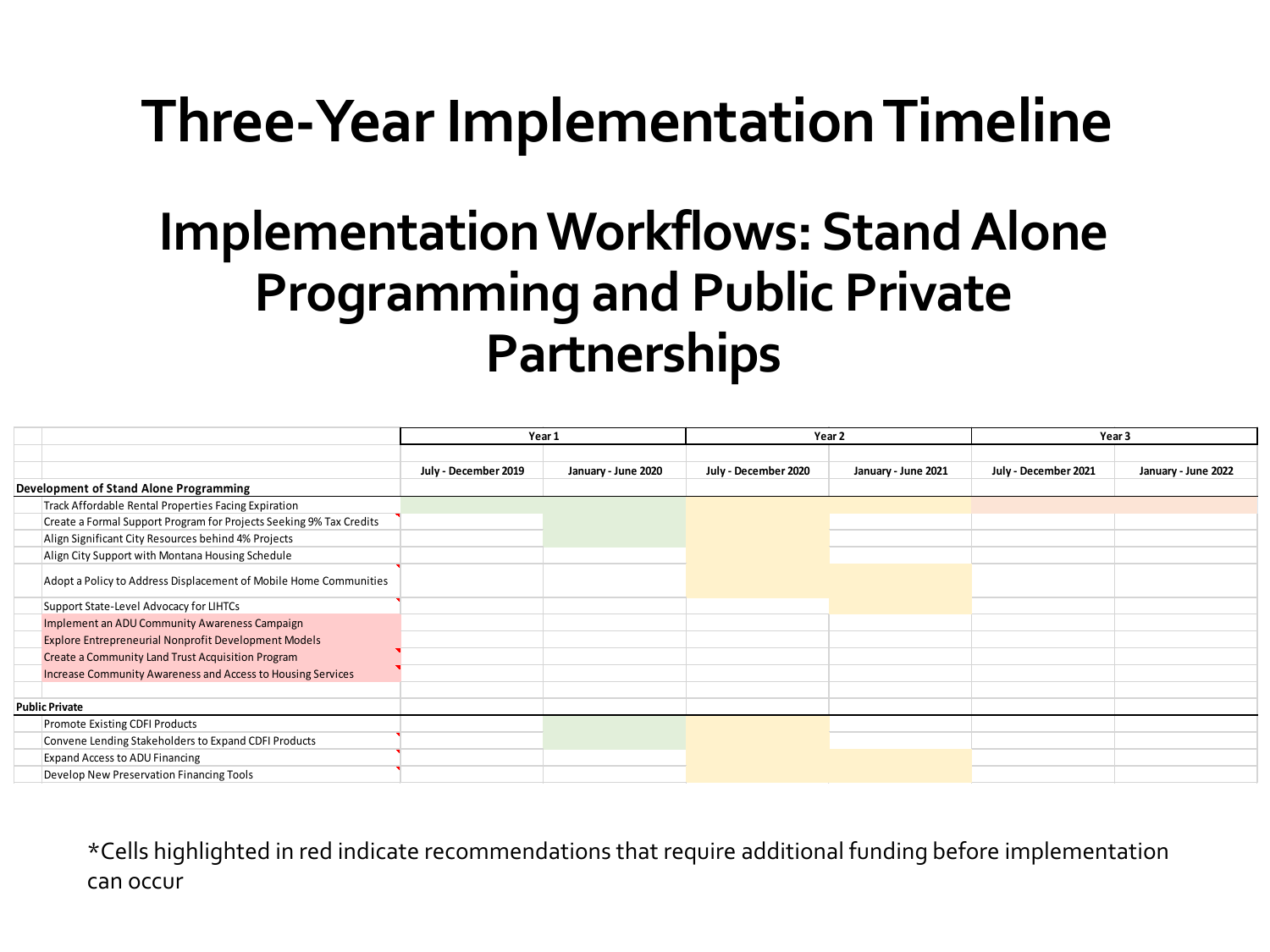# **Three-Year Implementation Timeline**

# **Implementation Workflows: Stand Alone Programming and Public Private Partnerships**

|                                        |                                                                     | Year 1               |                     | Year <sub>2</sub>    |                     | Year 3               |                     |
|----------------------------------------|---------------------------------------------------------------------|----------------------|---------------------|----------------------|---------------------|----------------------|---------------------|
|                                        |                                                                     |                      |                     |                      |                     |                      |                     |
|                                        |                                                                     | July - December 2019 | January - June 2020 | July - December 2020 | January - June 2021 | July - December 2021 | January - June 2022 |
| Development of Stand Alone Programming |                                                                     |                      |                     |                      |                     |                      |                     |
|                                        | Track Affordable Rental Properties Facing Expiration                |                      |                     |                      |                     |                      |                     |
|                                        | Create a Formal Support Program for Projects Seeking 9% Tax Credits |                      |                     |                      |                     |                      |                     |
|                                        | Align Significant City Resources behind 4% Projects                 |                      |                     |                      |                     |                      |                     |
|                                        | Align City Support with Montana Housing Schedule                    |                      |                     |                      |                     |                      |                     |
|                                        | Adopt a Policy to Address Displacement of Mobile Home Communities   |                      |                     |                      |                     |                      |                     |
|                                        | Support State-Level Advocacy for LIHTCs                             |                      |                     |                      |                     |                      |                     |
|                                        | Implement an ADU Community Awareness Campaign                       |                      |                     |                      |                     |                      |                     |
|                                        | <b>Explore Entrepreneurial Nonprofit Development Models</b>         |                      |                     |                      |                     |                      |                     |
|                                        | Create a Community Land Trust Acquisition Program                   |                      |                     |                      |                     |                      |                     |
|                                        | Increase Community Awareness and Access to Housing Services         |                      |                     |                      |                     |                      |                     |
|                                        |                                                                     |                      |                     |                      |                     |                      |                     |
| <b>Public Private</b>                  |                                                                     |                      |                     |                      |                     |                      |                     |
|                                        | Promote Existing CDFI Products                                      |                      |                     |                      |                     |                      |                     |
|                                        | Convene Lending Stakeholders to Expand CDFI Products                |                      |                     |                      |                     |                      |                     |
|                                        | Expand Access to ADU Financing                                      |                      |                     |                      |                     |                      |                     |
|                                        | Develop New Preservation Financing Tools                            |                      |                     |                      |                     |                      |                     |

\*Cells highlighted in red indicate recommendations that require additional funding before implementation can occur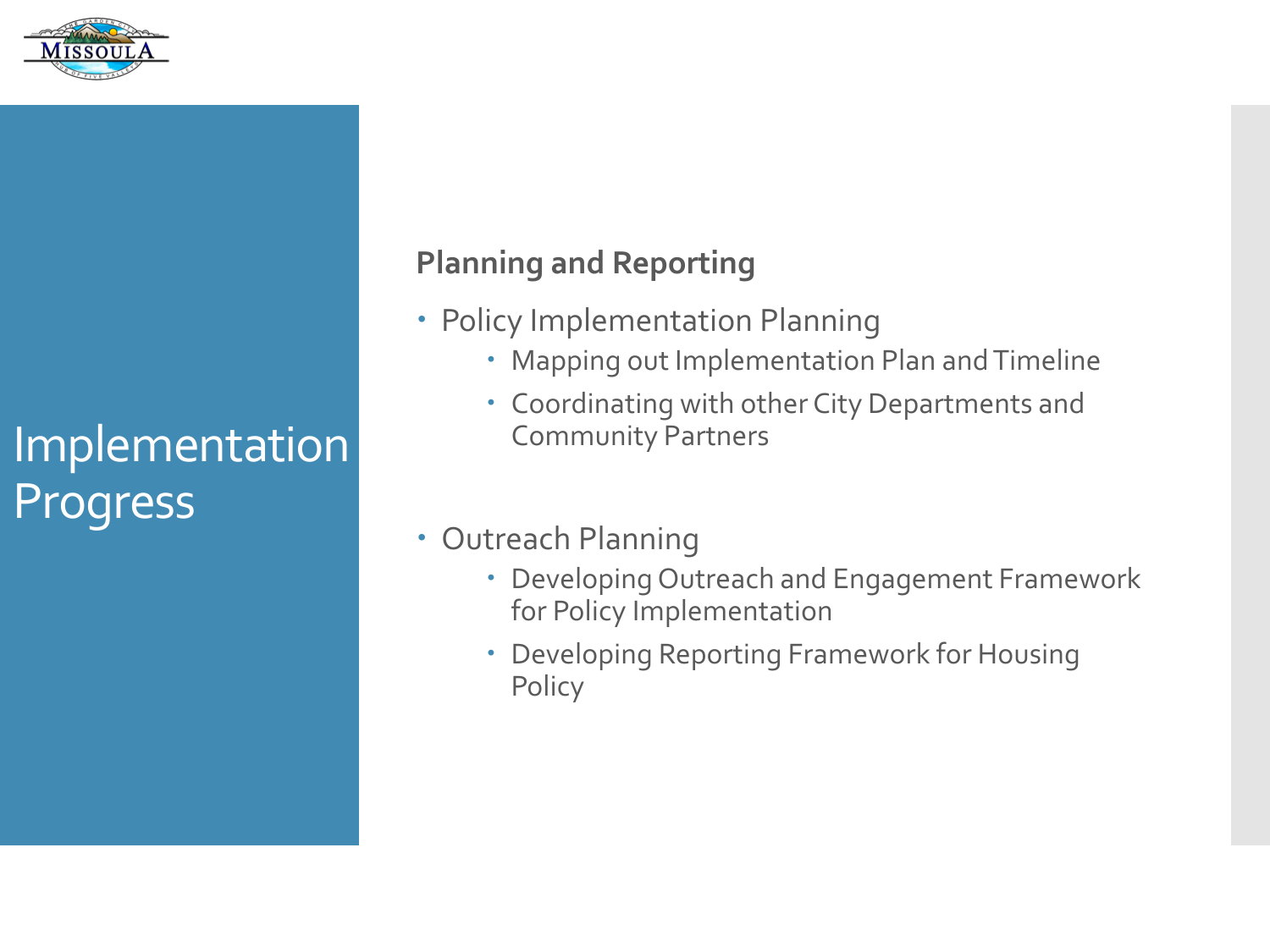

#### **Planning and Reporting**

- Policy Implementation Planning
	- Mapping out Implementation Plan and Timeline
	- Coordinating with other City Departments and Community Partners
- Outreach Planning
	- Developing Outreach and Engagement Framework for Policy Implementation
	- Developing Reporting Framework for Housing Policy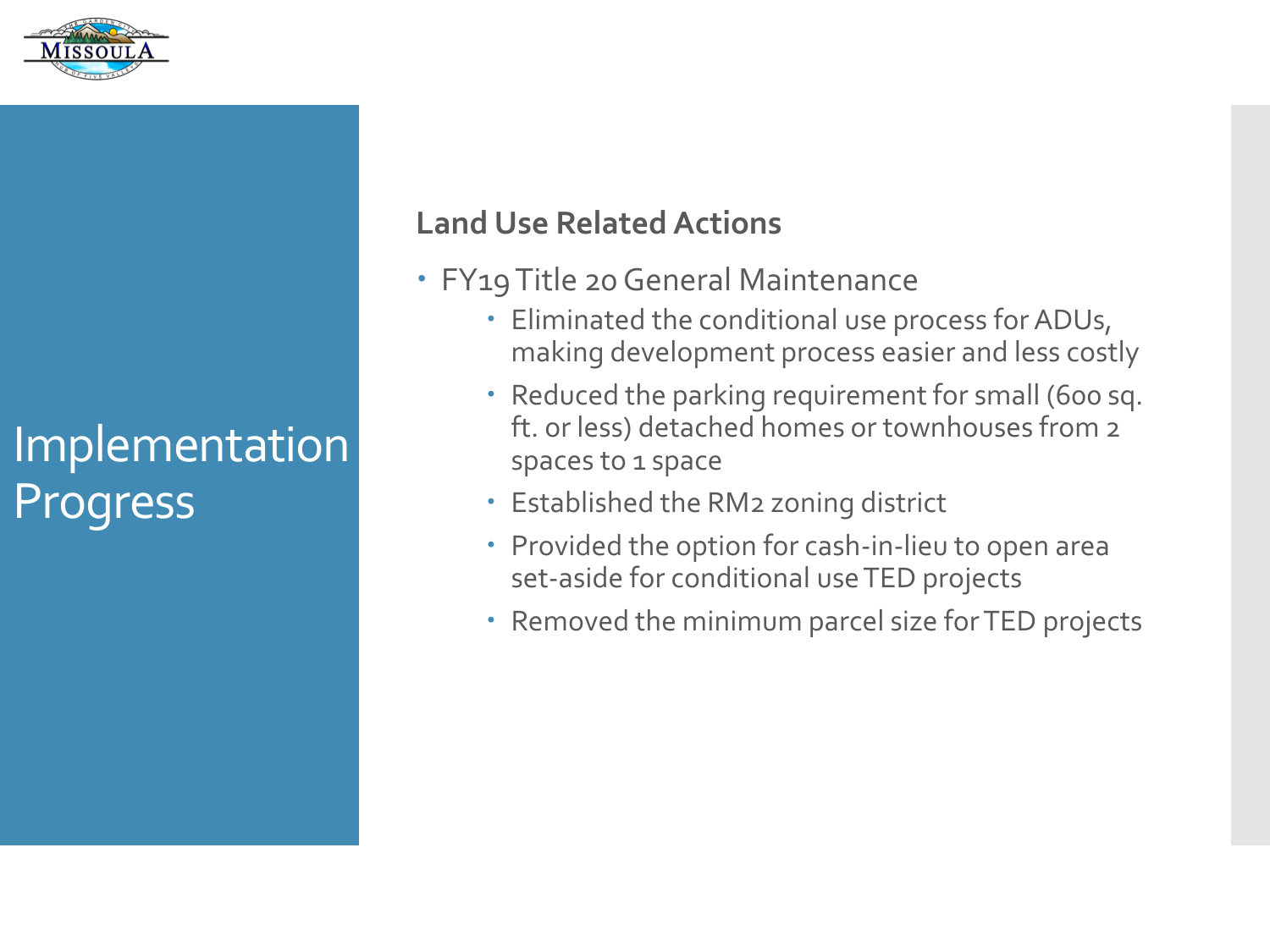

#### **Land Use Related Actions**

- FY19 Title 20 General Maintenance
	- Eliminated the conditional use process for ADUs, making development process easier and less costly
	- Reduced the parking requirement for small (600 sq. ft. or less) detached homes or townhouses from 2 spaces to 1 space
	- Established the RM2 zoning district
	- Provided the option for cash-in-lieu to open area set-aside for conditional use TED projects
	- Removed the minimum parcel size for TED projects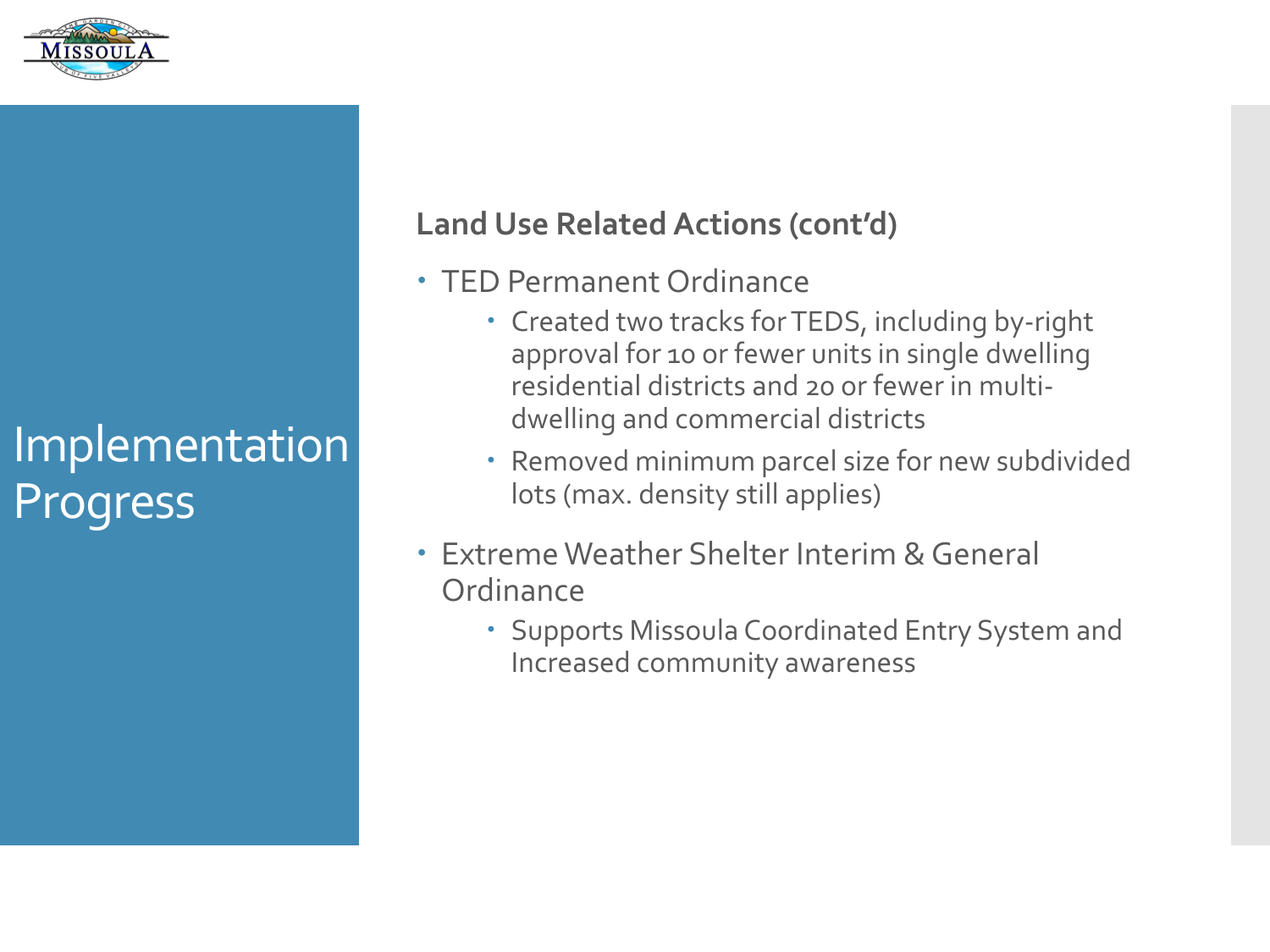

#### **Land Use Related Actions (cont'd)**

- TED Permanent Ordinance
	- Created two tracks for TEDS, including by-right approval for 10 or fewer units in single dwelling residential districts and 20 or fewer in multidwelling and commercial districts
	- Removed minimum parcel size for new subdivided lots (max. density still applies)
- Extreme Weather Shelter Interim & General **Ordinance** 
	- Supports Missoula Coordinated Entry System and Increased community awareness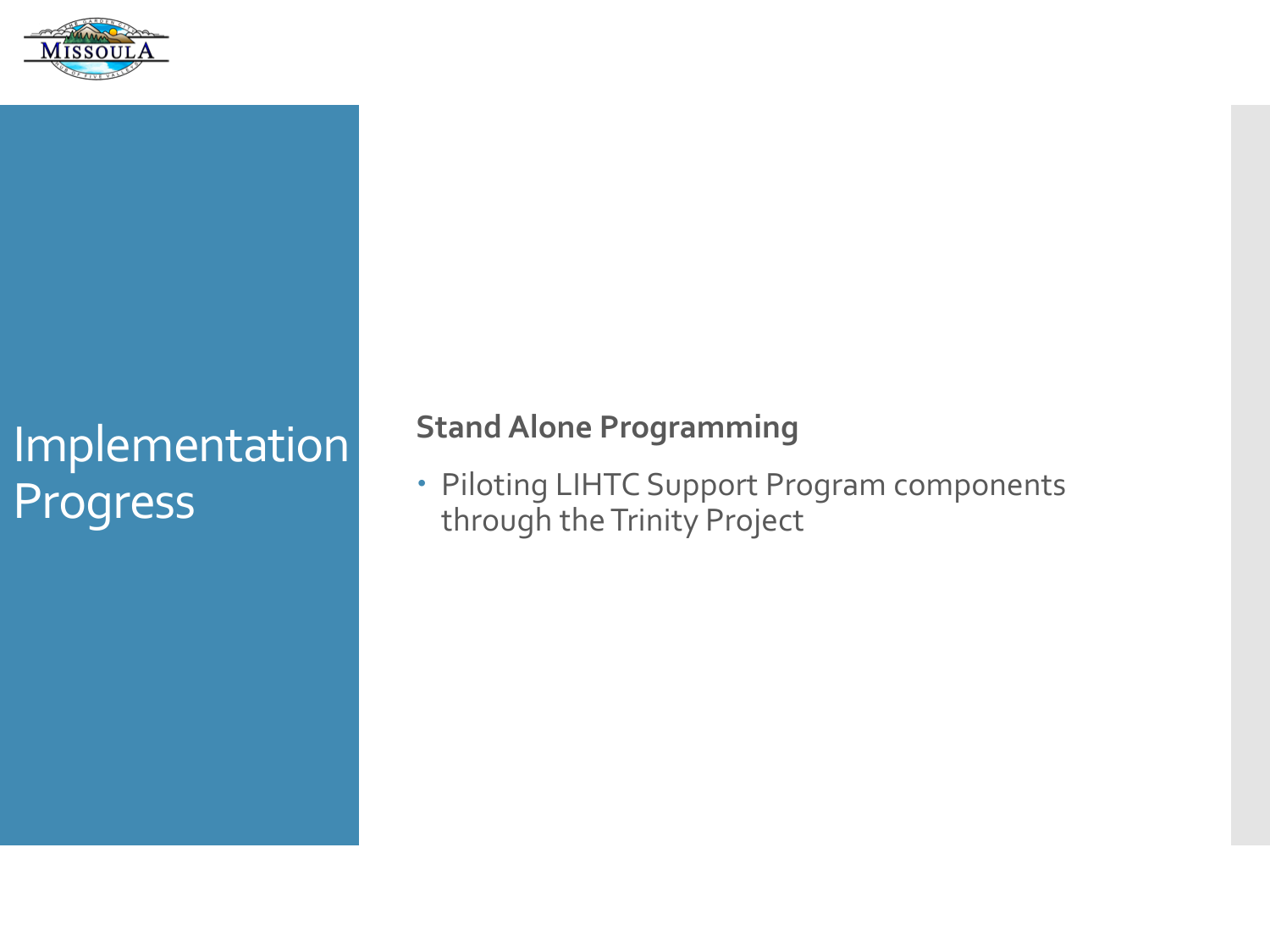

### **Stand Alone Programming**

 Piloting LIHTC Support Program components through the Trinity Project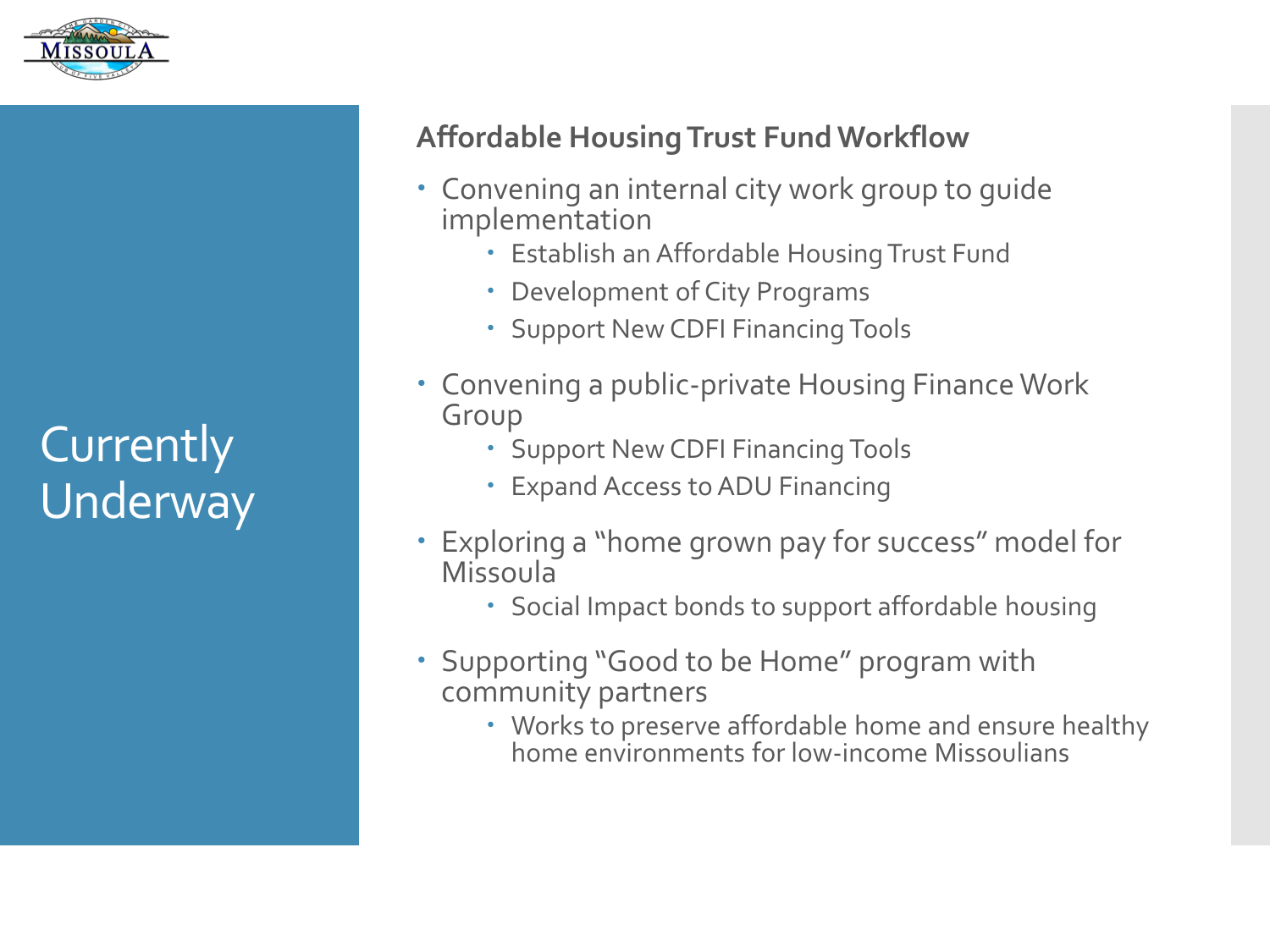

# **Currently** Underway

### **Affordable Housing Trust Fund Workflow**

- Convening an internal city work group to guide implementation
	- Establish an Affordable Housing Trust Fund
	- Development of City Programs
	- Support New CDFI Financing Tools
- Convening a public-private Housing Finance Work Group
	- Support New CDFI Financing Tools
	- Expand Access to ADU Financing
- Exploring a "home grown pay for success" model for Missoula
	- Social Impact bonds to support affordable housing
- Supporting "Good to be Home" program with community partners
	- Works to preserve affordable home and ensure healthy home environments for low-income Missoulians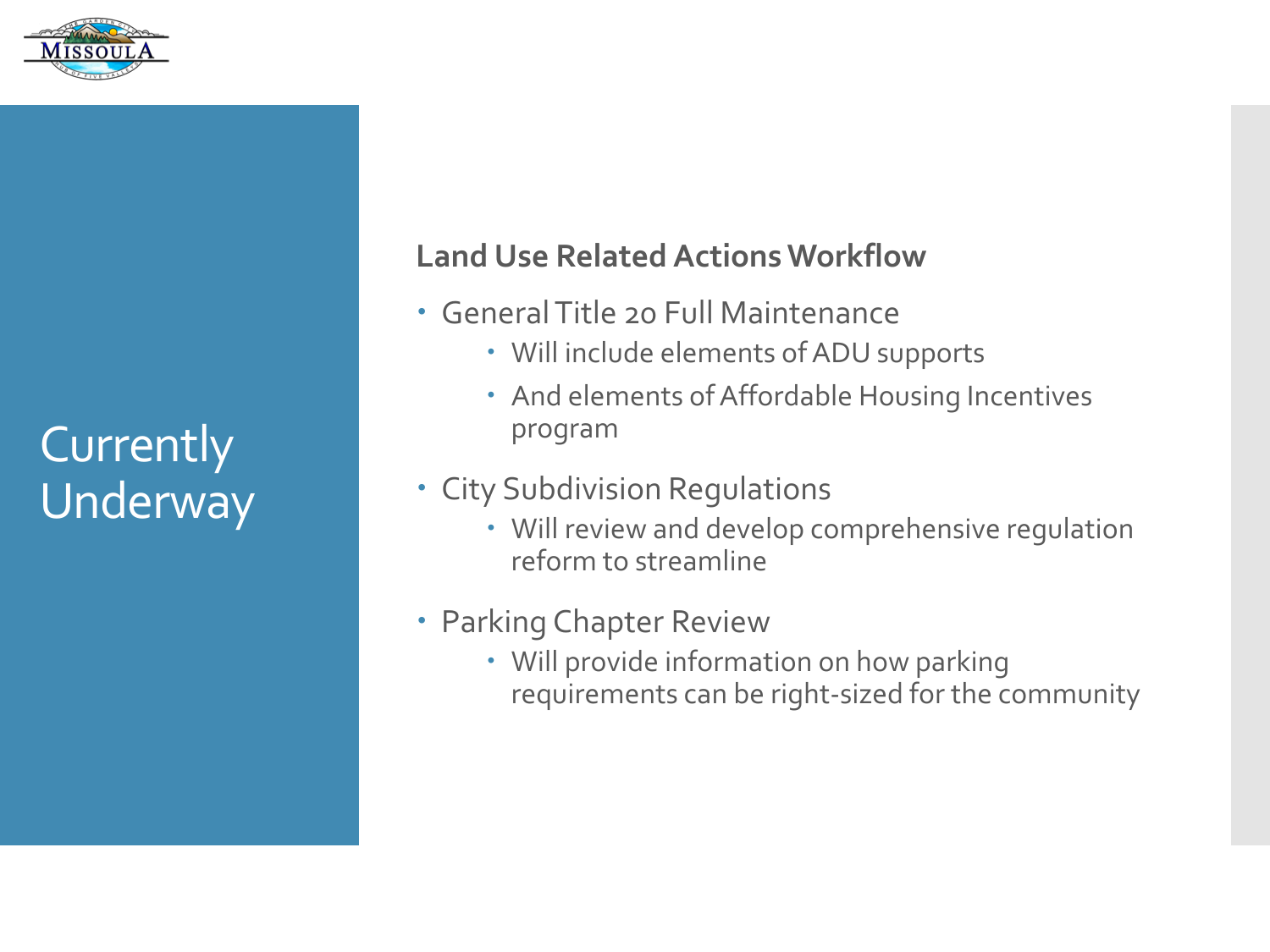

**Currently** Underway

#### **Land Use Related Actions Workflow**

- General Title 20 Full Maintenance
	- Will include elements of ADU supports
	- And elements of Affordable Housing Incentives program

#### City Subdivision Regulations

 Will review and develop comprehensive regulation reform to streamline

#### Parking Chapter Review

 Will provide information on how parking requirements can be right-sized for the community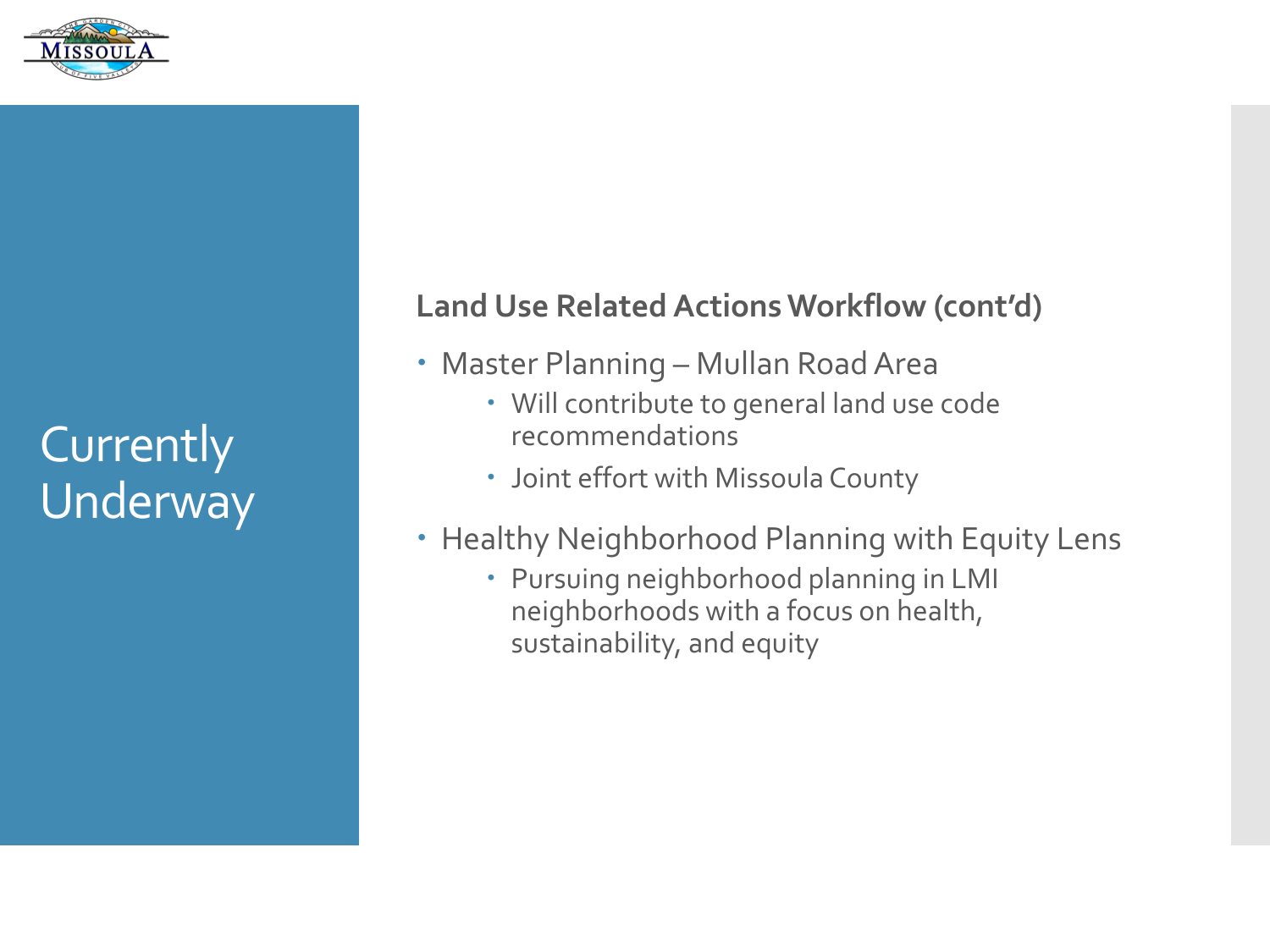

**Currently** Underway

#### **Land Use Related Actions Workflow (cont'd)**

- Master Planning Mullan Road Area
	- Will contribute to general land use code recommendations
	- Joint effort with Missoula County
- Healthy Neighborhood Planning with Equity Lens
	- Pursuing neighborhood planning in LMI neighborhoods with a focus on health, sustainability, and equity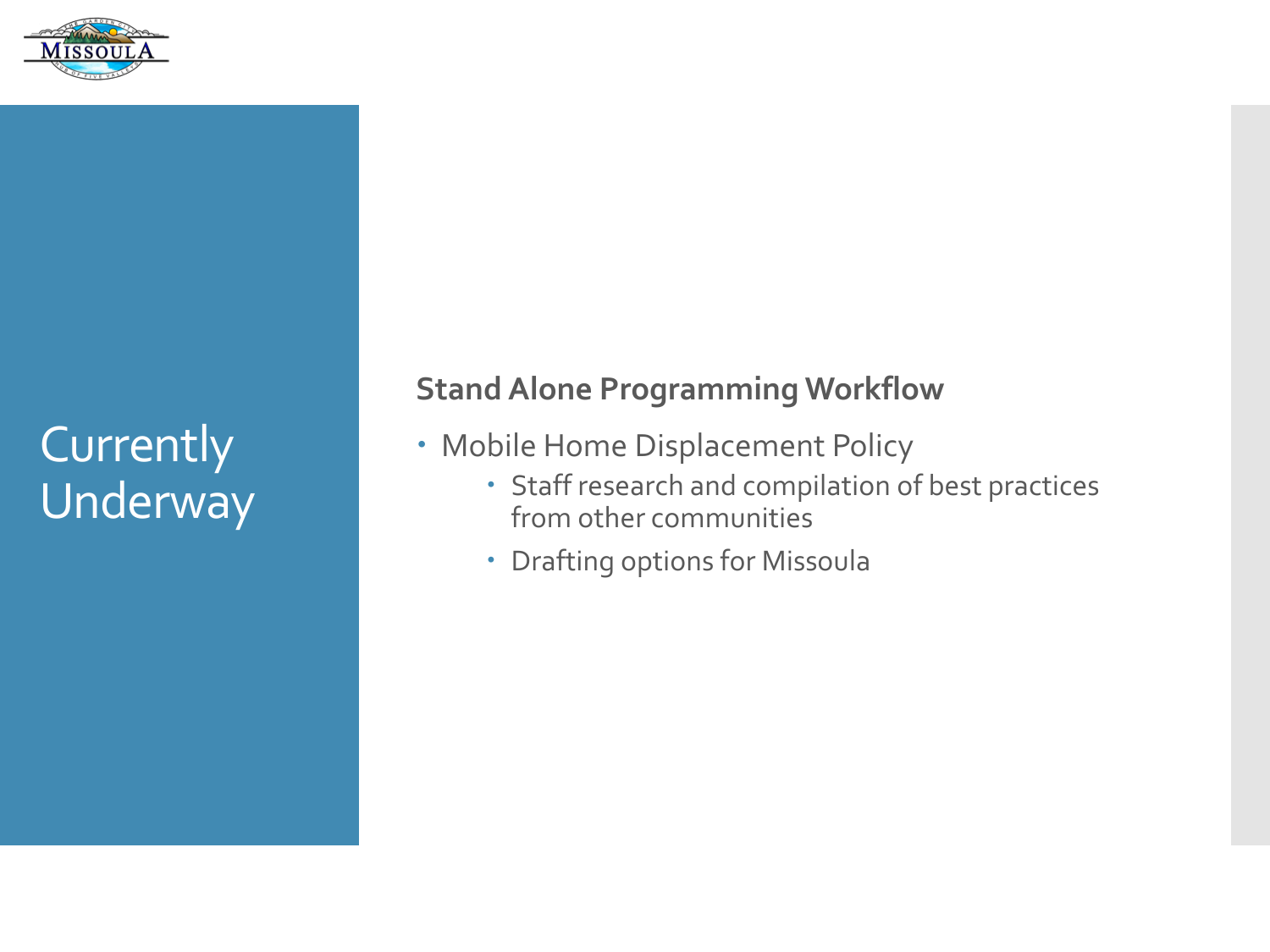

## Currently Underway

**Stand Alone Programming Workflow**

- Mobile Home Displacement Policy
	- Staff research and compilation of best practices from other communities
	- Drafting options for Missoula